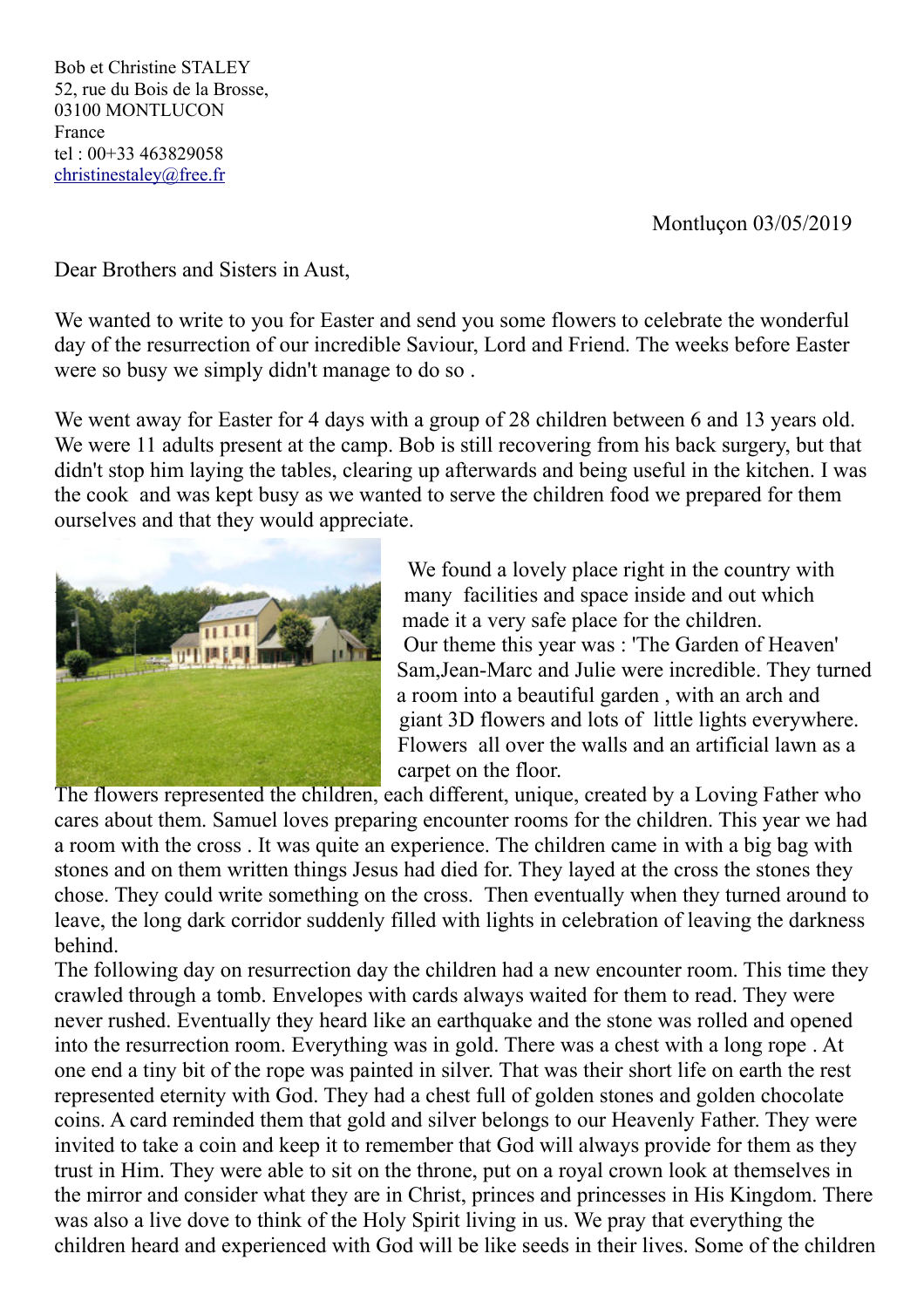Bob et Christine STALEY 52, rue du Bois de la Brosse, 03100 MONTLUCON France tel : 00+33 463829058 christinestaley@free.fr

Montluçon 03/05/2019

Dear Brothers and Sisters in Aust,

We wanted to write to you for Easter and send you some flowers to celebrate the wonderful day of the resurrection of our incredible Saviour, Lord and Friend. The weeks before Easter were so busy we simply didn't manage to do so .

We went away for Easter for 4 days with a group of 28 children between 6 and 13 years old. We were 11 adults present at the camp. Bob is still recovering from his back surgery, but that didn't stop him laying the tables, clearing up afterwards and being useful in the kitchen. I was the cook and was kept busy as we wanted to serve the children food we prepared for them ourselves and that they would appreciate.



 We found a lovely place right in the country with many facilities and space inside and out which made it a very safe place for the children. Our theme this year was : 'The Garden of Heaven' Sam,Jean-Marc and Julie were incredible. They turned a room into a beautiful garden , with an arch and giant 3D flowers and lots of little lights everywhere. Flowers all over the walls and an artificial lawn as a carpet on the floor.

The flowers represented the children, each different, unique, created by a Loving Father who cares about them. Samuel loves preparing encounter rooms for the children. This year we had a room with the cross . It was quite an experience. The children came in with a big bag with stones and on them written things Jesus had died for. They layed at the cross the stones they chose. They could write something on the cross. Then eventually when they turned around to leave, the long dark corridor suddenly filled with lights in celebration of leaving the darkness behind.

The following day on resurrection day the children had a new encounter room. This time they crawled through a tomb. Envelopes with cards always waited for them to read. They were never rushed. Eventually they heard like an earthquake and the stone was rolled and opened into the resurrection room. Everything was in gold. There was a chest with a long rope . At one end a tiny bit of the rope was painted in silver. That was their short life on earth the rest represented eternity with God. They had a chest full of golden stones and golden chocolate coins. A card reminded them that gold and silver belongs to our Heavenly Father. They were invited to take a coin and keep it to remember that God will always provide for them as they trust in Him. They were able to sit on the throne, put on a royal crown look at themselves in the mirror and consider what they are in Christ, princes and princesses in His Kingdom. There was also a live dove to think of the Holy Spirit living in us. We pray that everything the children heard and experienced with God will be like seeds in their lives. Some of the children